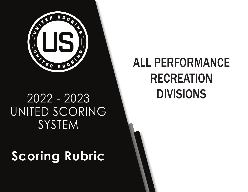

## 2022 - 2023 UNITED SCORING **SYSTEM**

# **Scoring Rubric**

# ALL PERFORMANCE RECREATION DIVISIONS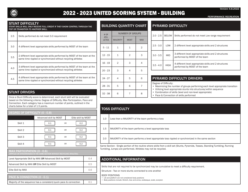

## 2022 - 2023 UNITED SCORING SYSTEM - BUILDING

PERFORMANCE RECREATION

Version: 6.8.2022

#### STUNT DIFFICULTY

STUNT SKILLS WILL ONLY RECEIVE FULL CREDIT IF THEY SHOW CONTROL THROUGH THE POP OR TRANSITION TO ANOTHER SKILL.

| 2.5 | Skills performed do not meet 3.0 requirement                                                                                              |
|-----|-------------------------------------------------------------------------------------------------------------------------------------------|
| 3.0 | 4 different level appropriate skills performed by MOST of the team                                                                        |
| 3.5 | 2 different level appropriate skills performed by MOST of the team at the<br>same time rippled or synchronized without recycling athletes |
| 4.0 | 3 different level appropriate skills performed by MOST of the team at the<br>same time rippled or synchronized without recycling athletes |
| 4.5 | 4 different level appropriate skills performed by MOST of the team at the<br>same time rippled or synchronized without recycling athletes |

#### **STUNT DRIVERS**

Once a Stunt Difficulty score is determined, each stunt skill will be evaluated based on the following criteria: Degree of Difficulty, Max Participation, Pace and Connection. Each category has a maximum number of points, outlined in the charts below for a total of 1.5 points.

| DEGREE OF DIFFICULTY (0 - 0.8) |                        |                       |  |  |
|--------------------------------|------------------------|-----------------------|--|--|
|                                | Advanced skill by MOST | Elite skill by MOST   |  |  |
| Skill 1                        | 0.1                    | 0.2<br><b>OR</b>      |  |  |
| Skill 2                        | 0.1                    | 0.2<br><b>OR</b>      |  |  |
| Skill 3                        | 0.1                    | 0.2<br>0 <sub>R</sub> |  |  |
| Skill 4                        | 0.1                    | 0.2<br><b>OR</b>      |  |  |

| <b>MAX PARTICIPATION <math>(0 - 0.6)</math></b><br>(RIPPLED OR SYNCHRONIZED IN THE SAME SECTION WITHOUT RECYCLING ATHLETES) |     |
|-----------------------------------------------------------------------------------------------------------------------------|-----|
| Level Appropriate Skill by MAX OR Advanced Skill by MOST                                                                    | 0.4 |
| Advanced Skill by MAX OR Elite Skill by MOST                                                                                | 0.5 |
| Elite Skill by MAX                                                                                                          | 0.6 |
| PACE & CONNECTION (0 - 0.1)                                                                                                 |     |
| Majority of the sequence has a consistent/quick pace & connection                                                           | 0.1 |
|                                                                                                                             |     |

#### BUILDING QUANTITY CHART

| # OF                 |                 | <b>NUMBER OF GROUPS</b> |                |  |
|----------------------|-----------------|-------------------------|----------------|--|
| ATH-<br><b>LETES</b> | <b>MAJORITY</b> | <b>MOST</b>             | <b>MAX</b>     |  |
| $5 - 11$             | 1               | 1                       | $\overline{2}$ |  |
| $12 - 15$            | 1               | 2                       | 3              |  |
| $16 - 19$            | $\overline{2}$  | 3                       | $\overline{4}$ |  |
| $20 - 23$            | 3               | 4                       | 5              |  |
| $24 - 27$            | 4               | 5                       | 6              |  |
| $28 - 31$            | 5               | 6                       | $\overline{7}$ |  |
| $32 - 38$            | 6               | 7                       | 8              |  |

### PYRAMID DIFFICULTY

| $2.0 - 2.5$ | <b>BELOW</b> | Skills performed do not meet Low range requirement                                     |
|-------------|--------------|----------------------------------------------------------------------------------------|
| $2.5 - 3.0$ | LOW          | 2 different level appropriate skills and 2 structures                                  |
| $3.0 - 3.5$ | <b>MID</b>   | 3 different level appropriate skills and 2 structures<br>performed by MOST of the team |
| $3.5 - 4.0$ | <b>HIGH</b>  | 4 different level appropriate skills and 2 structures<br>performed by MOST of the team |

### PYRAMID DIFFICULTY DRIVERS

Degree of Difficulty:

- Maximizing the number of groups performing each level appropriate transition
- Utilizing level appropriate stunts into structures/within sequence
- Combination of skills (level and non-level appropriate)
- Pace & Connection of skills performed

## TOSS DIFFICULTY

1.0 Less than a MAJORITY of the team performs a toss

1.5 MAJORITY of the team performs a level appropriate toss

2.0 MAJORITY of the team performs a level appropriate toss rippled or synchronized in the same section

Same Section - Single portion of the routine where skills from a skill set (Stunts, Pyramids, Tosses, Standing Tumbling, Running Tumbling, Jumps) are performed. Athletes may not be recycled.

#### ADDITIONAL INFORMATION

Skills that are not required to be synchronized may be cumulative to meet a difficulty requirement.

Structure - Two or more stunts connected to one another

#### BODY POSITIONS

• Lib and platform are not considered body positions

• Body positions include: Stretch, bow and arrow, arabesque, scale, scorpion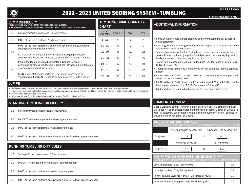

## 2022 - 2023 UNITED SCORING SYSTEM - TUMBLING

PERFORMANCE RECREATION

Version: 6.8.2022

#### JUMP DIFFICULTY

JUMPS MUST USE A WHIP APPROACH TO BE CONSIDERED CONNECTED. WHIP APPROACH- CONTINUOUS MOVEMENT THROUGH SWING, CONNECTING 2 OR MORE JUMPS.

| 0.5 | Skills performed do not meet 1.0 requirement                                                                                    | # OF<br><b>ATHLETES</b> |  |
|-----|---------------------------------------------------------------------------------------------------------------------------------|-------------------------|--|
| 1.0 | MOST of the team performs 1 advanced jump                                                                                       | $5 - 11$                |  |
|     | MOST of the team performs 2 connected advanced jumps. Must be<br>synchronized and include a variety.                            | $12 - 15$               |  |
| 1.5 | 6U/8U: MOST of the team performs 2 advanced jumps must be                                                                       | $16 - 19$               |  |
|     | synchronized, but DO NOT need to be connected or include a variety.                                                             | $20 - 23$               |  |
|     | MAX of the team performs 3 connected advanced jumps or 2<br>connected advanced jumps, plus 1 additional advanced jump. Must be  | $24 - 27$               |  |
| 2.0 | synchronized and include a variety.                                                                                             | $28 - 31$               |  |
|     | 6U/8U: MAX of the team performs 3 advanced jumps must be<br>synchronized, but DO NOT need to be connected or include a variety. | $32 - 38$               |  |

#### JUMPS

• Variety - at least 2 different jumps. Performing the same jump with different legs doesn't constitute as variety. (I.e. left/right hurdler)

- Jump skills must land on feet to be considered level appropriate and receive difficulty credit (i.e., jumps that land on knee(s) or seat, etc. would not count). • Basic Jumps: Spread Eagle, Tuck Jump
- Advanced Jumps: Pike, Right/Left Hurdlers (front or side), Toe Touch, Double Nine

### STANDING TUMBLING DIFFICULTY

| 1.5 | Skills performed do not meet 2.0 requirement                              |
|-----|---------------------------------------------------------------------------|
| 2.0 | MAJORITY of the team performs a level appropriate pass                    |
| 2.5 | MOST of the team performs a level appropriate pass                        |
| 3.0 | MOST of the team performs an Advanced and/or Elite level appropriate pass |

### RUNNING TUMBLING DIFFICULTY

| 1.5 | Skills performed do not meet 2.0 requirement                              |
|-----|---------------------------------------------------------------------------|
| 2.0 | MAJORITY of the team performs a level appropriate pass                    |
| 2.5 | MOST of the team performs a level appropriate pass                        |
| 3.0 | MOST of the team performs an Advanced and/or Elite level appropriate pass |

## TUMBLING/JUMP QUANTITY

CHART

| UNARI                   |                 |                |            |  |
|-------------------------|-----------------|----------------|------------|--|
| # OF<br><b>ATHLETES</b> | <b>MAJORITY</b> | <b>MOST</b>    | <b>MAX</b> |  |
| $5 - 11$                | 5               | 6              |            |  |
| $12 - 15$               | 6               | $\overline{7}$ | 9          |  |
| $16 - 19$               | 8               | 10             | 12         |  |
| $20 - 23$               | 10              | 13             | 16         |  |
| $24 - 27$               | 12              | 15             | 19         |  |
| $28 - 31$               | 14              | 18             | 22         |  |
| $32 - 38$               | 16              | 20             | 25         |  |

### ADDITIONAL INFORMATION

- Same Section\* would include standing and running tumbling skills/passes being performed.
- Standing/Running Tumbling Difficulty and the Degree of Difficulty driver can be achieved by a cumulative approach.
- Tumbling passes must land on feet to be considered level appropriate and receive difficulty credit (i.e., jump 3/4 front flip to seat, back handsprings which lands in a prone position, etc. would not count).
- Jumps within a pass will not break up the pass (i.e., Toe Touch-BHS-Toe Touch-BHS is 1 pass in L3).
- T-Jumps are not considered a jump and will break up a pass into two separate passes.
- L2- No skills out of a RO that are ILLEGAL in L1 will count for level appropriate credit (i.e., RO - Backward Roll).
- L3- No skills out of a BHS step out 1⁄2 turn that are ILLEGAL in L2 will count for level appropriate credit (i.e., RO - BHS step out 1/2 turn - RO).
- L4- Punch front forward roll will not count for level appropriate credit.

#### TUMBLING DRIVERS

Once a Standing and/or Running Tumbling Difficulty score is determined, each skill/pass will be evaluated based on the following criteria: Degree of Difficulty & Max Participation. Each category has a maximum number of points, outlined in the charts below for a total of 1 point.

| <b>DEGREE OF DIFFICULTY (0 - 0.6)</b><br>(To receive credit for each Skill/Pass section below the skills performed must be DIFFERENT)          |                               |                            |     |  |
|------------------------------------------------------------------------------------------------------------------------------------------------|-------------------------------|----------------------------|-----|--|
|                                                                                                                                                | Level Appropriate by MAJORITY | Advanced/Elite by MAJORITY |     |  |
| Skill/Pass                                                                                                                                     | 0.1<br>0.2<br>0 <sub>R</sub>  |                            |     |  |
|                                                                                                                                                | Advanced by MOST              | Elite by MOST              |     |  |
| Skill/Pass                                                                                                                                     | 0.3<br>0.4<br>0 <sub>R</sub>  |                            |     |  |
| MAX PARTICIPATION IN THE SAME SECTION (0 - 0.4)<br>(Same Section* - Single portion of the routine where skills from a skill set are performed) |                               |                            |     |  |
| Level Appropriate - Skill/Pass by MOST<br>0.1                                                                                                  |                               |                            |     |  |
| Level Appropriate - Skill/Pass by MAX                                                                                                          |                               |                            | 0.2 |  |
| Advanced/Elite Level Appropriate - Skill/Pass by MOST                                                                                          |                               |                            | 0.3 |  |
| Advanced/Elite Level Appropriate - Skill/Pass by MAX                                                                                           |                               |                            | 0.4 |  |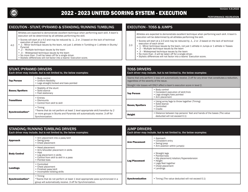

4.0

#### PERFORMANCE RECREATION

#### EXECUTION - STUNT/PYRAMID & STANDING/RUNNING TUMBLING

Athletes are expected to demonstrate excellent technique when performing each skill. A team's execution will be determined by all athletes performing the skill.

- Scores will start at a 4.0 and may be reduced by .1, .2 or .3 based on the lack of technical execution of each driver
- .1 Minor technique issues by the team, not just 1 athlete in Tumbling or 1 athlete in Stunts/ Pyramid
	- $\overrightarrow{2}$  Multiple technique issues by the team
	- .3 Widespread technique issues by the team
	- No more than .3 will be taken off for a single driver.
	- Stylistic differences will not factor into a teams' Execution score.

#### STUNT/PYRAMID DRIVERS

| Each driver may include, but is not limited to, the below examples: |                                                                                                                                                                                                      |  |  |  |
|---------------------------------------------------------------------|------------------------------------------------------------------------------------------------------------------------------------------------------------------------------------------------------|--|--|--|
| <b>Top Person</b>                                                   | • Body control<br>• Uniform flexibility<br>• Legs straight/locked and toes pointed                                                                                                                   |  |  |  |
| <b>Bases/Spotters</b>                                               | • Stability of the stunt<br>• Solid stance<br>• Feet stationary                                                                                                                                      |  |  |  |
| <b>Transitions</b>                                                  | • Entries<br>• Dismounts<br>• Control from skill to skill                                                                                                                                            |  |  |  |
| Synchronization*                                                    | $\bullet$ Timing<br>*Teams that do not perform at least 1 level appropriate skill/transition by 2<br>or more groups in Stunts and Pyramids will automatically receive .3 off for<br>Synchronization. |  |  |  |

#### EXECUTION - TOSS & JUMPS

Athletes are expected to demonstrate excellent technique when performing each skill. A team's execution will be determined by all athletes performing the skill.

- Scores will start at a 2.0 and may be reduced by .1, .2 or .3 based on the lack of technical execution of each driver
- 2.0 • .1 - Minor technique issues by the team, not just 1 athlete in Jumps or 1 athlete in Tosses
	- .2 Multiple technique issues by the team
	- .3 Widespread technique issues by the team
	- No more than .3 will be taken off for a single driver.
	- Stylistic differences will not factor into a teams' Execution score.

#### TOSS DRIVERS

#### Each driver may include, but is not limited to, the below examples:

Teams that only perform 1 toss will automatically receive .3 off for any driver that constitutes a reduction, regardless of the severity of the issue.

Straight ride tosses will ONLY affect a team's execution score in level 2.

| <b>Top Person</b>     | • Body control<br>• Consistent execution of skill/trick<br>• Legs straight/toes pointed<br>• Arm placement |
|-----------------------|------------------------------------------------------------------------------------------------------------|
| <b>Bases/Spotters</b> | • Using arms/legs to throw together (Timing)<br>• Solid stance<br>• Controlled<br>$\bullet$ Cradle         |
| <b>Height</b>         | • Distance between top persons' feet and hands of the bases (The value<br>deducted will not exceed 0.1)    |

| <b>STANDING/RUNNING TUMBLING DRIVERS</b><br>Each driver may include, but is not limited to, the below examples: |                                                                                                                                                            |  |
|-----------------------------------------------------------------------------------------------------------------|------------------------------------------------------------------------------------------------------------------------------------------------------------|--|
| <b>Approach</b>                                                                                                 | • Arm placement into a pass/skill<br>• Swing/prep<br>• Chest placement                                                                                     |  |
| <b>Body Control</b>                                                                                             | • Head placement<br>• Arm/shoulder placement in skills<br>• Hips<br>• Leg placement in skills<br>• Control from skill to skill in a pass<br>• Pointed toes |  |
| Landings                                                                                                        | • Controlled<br>• Chest placement<br>• Finished pass/skill<br>• Incomplete twisting skills                                                                 |  |
| Synchronization*                                                                                                | • Timing<br>*Teams that do not perform at least 1 level appropriate pass synchronized in a<br>group will automatically receive .3 off for Synchronization. |  |

| <b>JUMP DRIVERS</b><br>Each driver may include, but is not limited to, the below examples: |                                                                                                                                                     |  |
|--------------------------------------------------------------------------------------------|-----------------------------------------------------------------------------------------------------------------------------------------------------|--|
| <b>Arm Placement</b>                                                                       | • Approach<br>• Consistent entry<br>• Swing/prep<br>• Arm position within jump(s)                                                                   |  |
| <b>Leg Placement</b>                                                                       | • Straight legs<br>• Pointed toes<br>• Hip placement/rotation/Hyperextension<br>• Height<br>• Legs/feet together<br>• Chest placement<br>• Landings |  |
| <b>Synchronization</b>                                                                     | • Timing (The value deducted will not exceed 0.1)                                                                                                   |  |